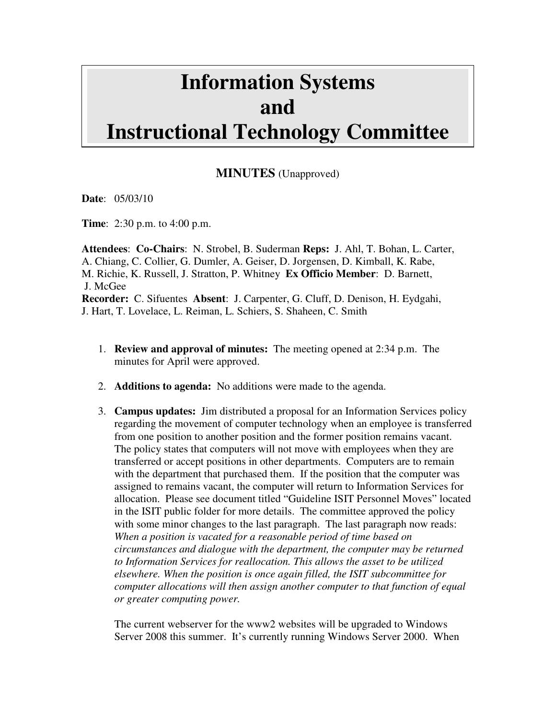## **Information Systems and Instructional Technology Committee**

## **MINUTES** (Unapproved)

**Date**: 05/03/10

**Time**: 2:30 p.m. to 4:00 p.m.

**Attendees**: **Co-Chairs**: N. Strobel, B. Suderman **Reps:** J. Ahl, T. Bohan, L. Carter, A. Chiang, C. Collier, G. Dumler, A. Geiser, D. Jorgensen, D. Kimball, K. Rabe, M. Richie, K. Russell, J. Stratton, P. Whitney **Ex Officio Member**: D. Barnett, J. McGee **Recorder:** C. Sifuentes **Absent**: J. Carpenter, G. Cluff, D. Denison, H. Eydgahi, J. Hart, T. Lovelace, L. Reiman, L. Schiers, S. Shaheen, C. Smith

- 1. **Review and approval of minutes:** The meeting opened at 2:34 p.m. The minutes for April were approved.
- 2. **Additions to agenda:** No additions were made to the agenda.
- 3. **Campus updates:** Jim distributed a proposal for an Information Services policy regarding the movement of computer technology when an employee is transferred from one position to another position and the former position remains vacant. The policy states that computers will not move with employees when they are transferred or accept positions in other departments. Computers are to remain with the department that purchased them. If the position that the computer was assigned to remains vacant, the computer will return to Information Services for allocation. Please see document titled "Guideline ISIT Personnel Moves" located in the ISIT public folder for more details. The committee approved the policy with some minor changes to the last paragraph. The last paragraph now reads: *When a position is vacated for a reasonable period of time based on circumstances and dialogue with the department, the computer may be returned to Information Services for reallocation. This allows the asset to be utilized elsewhere. When the position is once again filled, the ISIT subcommittee for computer allocations will then assign another computer to that function of equal or greater computing power.*

The current webserver for the www2 websites will be upgraded to Windows Server 2008 this summer. It's currently running Windows Server 2000. When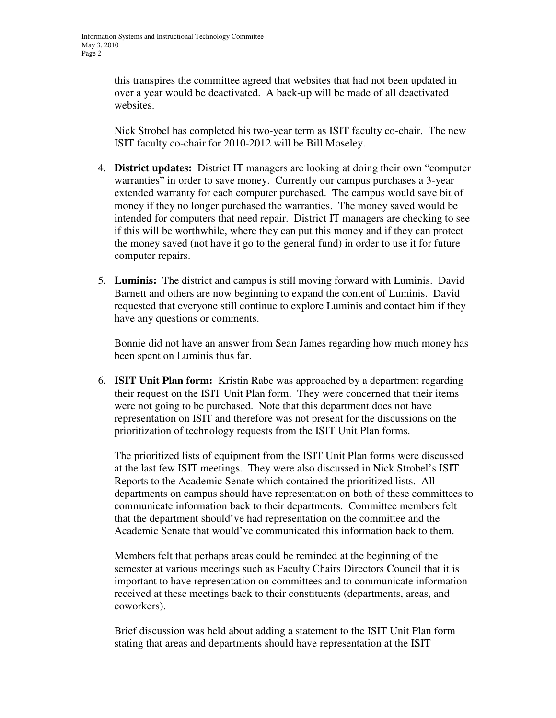this transpires the committee agreed that websites that had not been updated in over a year would be deactivated. A back-up will be made of all deactivated websites.

Nick Strobel has completed his two-year term as ISIT faculty co-chair. The new ISIT faculty co-chair for 2010-2012 will be Bill Moseley.

- 4. **District updates:** District IT managers are looking at doing their own "computer warranties" in order to save money. Currently our campus purchases a 3-year extended warranty for each computer purchased. The campus would save bit of money if they no longer purchased the warranties. The money saved would be intended for computers that need repair. District IT managers are checking to see if this will be worthwhile, where they can put this money and if they can protect the money saved (not have it go to the general fund) in order to use it for future computer repairs.
- 5. **Luminis:** The district and campus is still moving forward with Luminis. David Barnett and others are now beginning to expand the content of Luminis. David requested that everyone still continue to explore Luminis and contact him if they have any questions or comments.

Bonnie did not have an answer from Sean James regarding how much money has been spent on Luminis thus far.

6. **ISIT Unit Plan form:** Kristin Rabe was approached by a department regarding their request on the ISIT Unit Plan form. They were concerned that their items were not going to be purchased. Note that this department does not have representation on ISIT and therefore was not present for the discussions on the prioritization of technology requests from the ISIT Unit Plan forms.

The prioritized lists of equipment from the ISIT Unit Plan forms were discussed at the last few ISIT meetings. They were also discussed in Nick Strobel's ISIT Reports to the Academic Senate which contained the prioritized lists. All departments on campus should have representation on both of these committees to communicate information back to their departments. Committee members felt that the department should've had representation on the committee and the Academic Senate that would've communicated this information back to them.

Members felt that perhaps areas could be reminded at the beginning of the semester at various meetings such as Faculty Chairs Directors Council that it is important to have representation on committees and to communicate information received at these meetings back to their constituents (departments, areas, and coworkers).

Brief discussion was held about adding a statement to the ISIT Unit Plan form stating that areas and departments should have representation at the ISIT